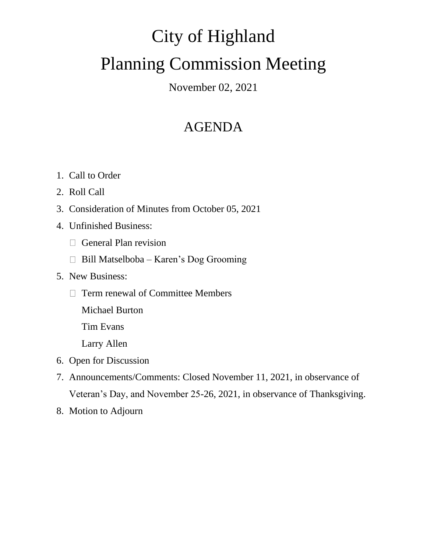# City of Highland Planning Commission Meeting

November 02, 2021

# AGENDA

- 1. Call to Order
- 2. Roll Call
- 3. Consideration of Minutes from October 05, 2021
- 4. Unfinished Business:
	- General Plan revision
	- $\Box$  Bill Matselboba Karen's Dog Grooming
- 5. New Business:
	- $\Box$  Term renewal of Committee Members
		- Michael Burton
		- Tim Evans
		- Larry Allen
- 6. Open for Discussion
- 7. Announcements/Comments: Closed November 11, 2021, in observance of Veteran's Day, and November 25-26, 2021, in observance of Thanksgiving.
- 8. Motion to Adjourn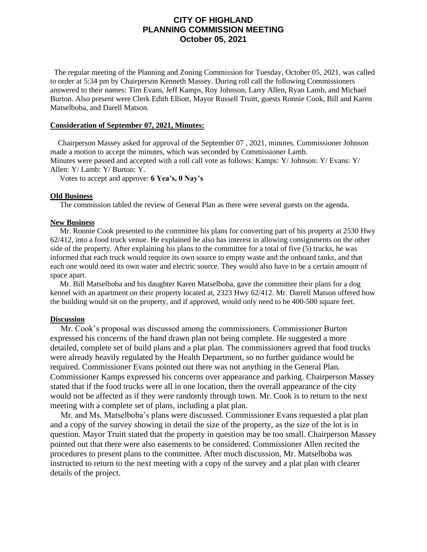### **CITY OF HIGHLAND PLANNING COMMISSION MEETING October 05, 2021**

 The regular meeting of the Planning and Zoning Commission for Tuesday, October 05, 2021, was called to order at 5:34 pm by Chairperson Kenneth Massey. During roll call the following Commissioners answered to their names: Tim Evans, Jeff Kamps, Roy Johnson, Larry Allen, Ryan Lamb, and Michael Burton. Also present were Clerk Edith Elliott, Mayor Russell Truitt, guests Ronnie Cook, Bill and Karen Matselboba, and Darell Matson.

#### **Consideration of September 07, 2021, Minutes:**

 Chairperson Massey asked for approval of the September 07 , 2021, minutes. Commissioner Johnson made a motion to accept the minutes, which was seconded by Commissioner Lamb. Minutes were passed and accepted with a roll call vote as follows: Kamps: Y/ Johnson: Y/ Evans: Y/ Allen: Y/ Lamb: Y/ Burton: Y.

Votes to accept and approve: **6 Yea's, 0 Nay's**

#### **Old Business**

The commission tabled the review of General Plan as there were several guests on the agenda.

#### **New Business**

 Mr. Ronnie Cook presented to the committee his plans for converting part of his property at 2530 Hwy 62/412, into a food truck venue. He explained he also has interest in allowing consignments on the other side of the property. After explaining his plans to the committee for a total of five (5) trucks, he was informed that each truck would require its own source to empty waste and the onboard tanks, and that each one would need its own water and electric source. They would also have to be a certain amount of space apart.

 Mr. Bill Matselboba and his daughter Karen Matselboba, gave the committee their plans for a dog kennel with an apartment on their property located at, 2323 Hwy 62/412. Mr. Darrell Matson offered how the building would sit on the property, and if approved, would only need to be 400-500 square feet.

#### **Discussion**

 Mr. Cook's proposal was discussed among the commissioners. Commissioner Burton expressed his concerns of the hand drawn plan not being complete. He suggested a more detailed, complete set of build plans and a plat plan. The commissioners agreed that food trucks were already heavily regulated by the Health Department, so no further guidance would be required. Commissioner Evans pointed out there was not anything in the General Plan. Commissioner Kamps expressed his concerns over appearance and parking. Chairperson Massey stated that if the food trucks were all in one location, then the overall appearance of the city would not be affected as if they were randomly through town. Mr. Cook is to return to the next meeting with a complete set of plans, including a plat plan.

 Mr. and Ms. Matselboba's plans were discussed. Commissioner Evans requested a plat plan and a copy of the survey showing in detail the size of the property, as the size of the lot is in question. Mayor Truitt stated that the property in question may be too small. Chairperson Massey pointed out that there were also easements to be considered. Commissioner Allen recited the procedures to present plans to the committee. After much discussion, Mr. Matselboba was instructed to return to the next meeting with a copy of the survey and a plat plan with clearer details of the project.